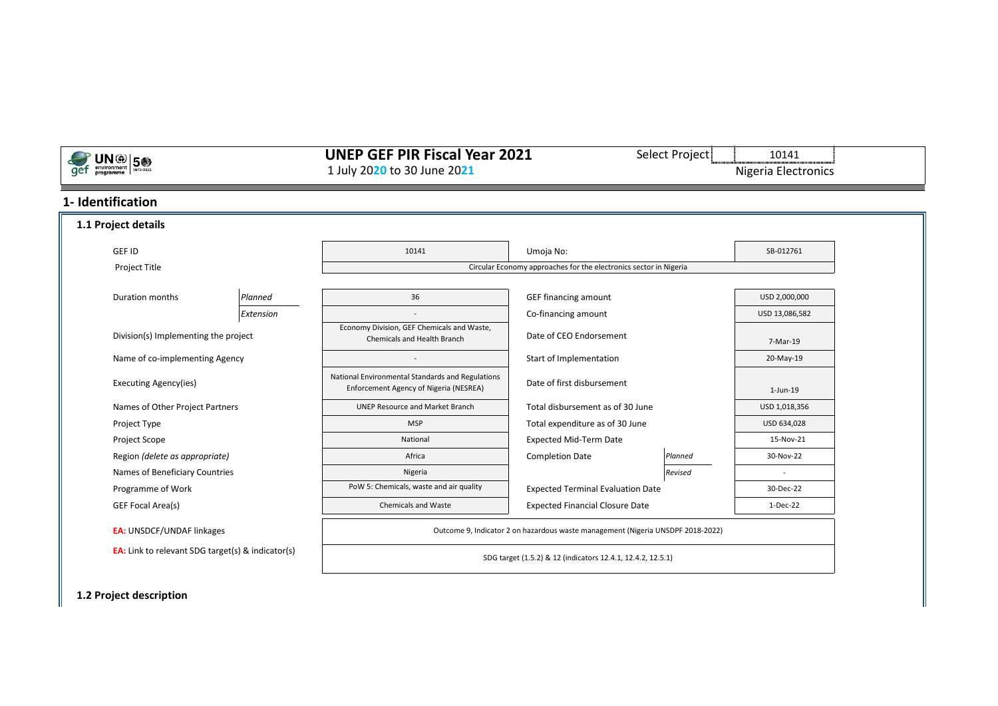# **UNEP GEF PIR Fiscal Year 2021** Select Project 10141 1<br>1 July 2020 to 30 June 2021 Nigeria Electronics 1 July 2020 to 30 June 2021

## **1- Identification**

**ONO 50** 

| 1.1 Project details                                      |           |                                                                                            |                                                                                 |           |                |
|----------------------------------------------------------|-----------|--------------------------------------------------------------------------------------------|---------------------------------------------------------------------------------|-----------|----------------|
| GEF ID                                                   |           | 10141<br>Umoja No:                                                                         |                                                                                 | SB-012761 |                |
| Project Title                                            |           |                                                                                            | Circular Economy approaches for the electronics sector in Nigeria               |           |                |
|                                                          |           |                                                                                            |                                                                                 |           |                |
| Duration months                                          | Planned   | 36                                                                                         | <b>GEF financing amount</b>                                                     |           | USD 2,000,000  |
|                                                          | Extension | $\sim$                                                                                     | Co-financing amount                                                             |           | USD 13,086,582 |
| Division(s) Implementing the project                     |           | Economy Division, GEF Chemicals and Waste,<br>Chemicals and Health Branch                  | Date of CEO Endorsement                                                         |           | 7-Mar-19       |
| Name of co-implementing Agency                           |           |                                                                                            | Start of Implementation                                                         |           | 20-May-19      |
| <b>Executing Agency(ies)</b>                             |           | National Environmental Standards and Regulations<br>Enforcement Agency of Nigeria (NESREA) | Date of first disbursement                                                      |           | $1$ -Jun- $19$ |
| Names of Other Project Partners                          |           | <b>UNEP Resource and Market Branch</b>                                                     | Total disbursement as of 30 June                                                |           | USD 1,018,356  |
| Project Type                                             |           | <b>MSP</b>                                                                                 | Total expenditure as of 30 June                                                 |           | USD 634,028    |
| Project Scope                                            |           | National                                                                                   | <b>Expected Mid-Term Date</b>                                                   |           | 15-Nov-21      |
| Region (delete as appropriate)                           |           | Africa                                                                                     | <b>Completion Date</b>                                                          | Planned   | 30-Nov-22      |
| Names of Beneficiary Countries                           |           | Nigeria                                                                                    |                                                                                 | Revised   |                |
| Programme of Work                                        |           | PoW 5: Chemicals, waste and air quality                                                    | <b>Expected Terminal Evaluation Date</b>                                        |           | 30-Dec-22      |
| GEF Focal Area(s)                                        |           | <b>Chemicals and Waste</b>                                                                 | <b>Expected Financial Closure Date</b>                                          |           | 1-Dec-22       |
| <b>EA: UNSDCF/UNDAF linkages</b>                         |           |                                                                                            | Outcome 9, Indicator 2 on hazardous waste management (Nigeria UNSDPF 2018-2022) |           |                |
| <b>EA:</b> Link to relevant SDG target(s) & indicator(s) |           |                                                                                            | SDG target (1.5.2) & 12 (indicators 12.4.1, 12.4.2, 12.5.1)                     |           |                |

**1.2 Project description**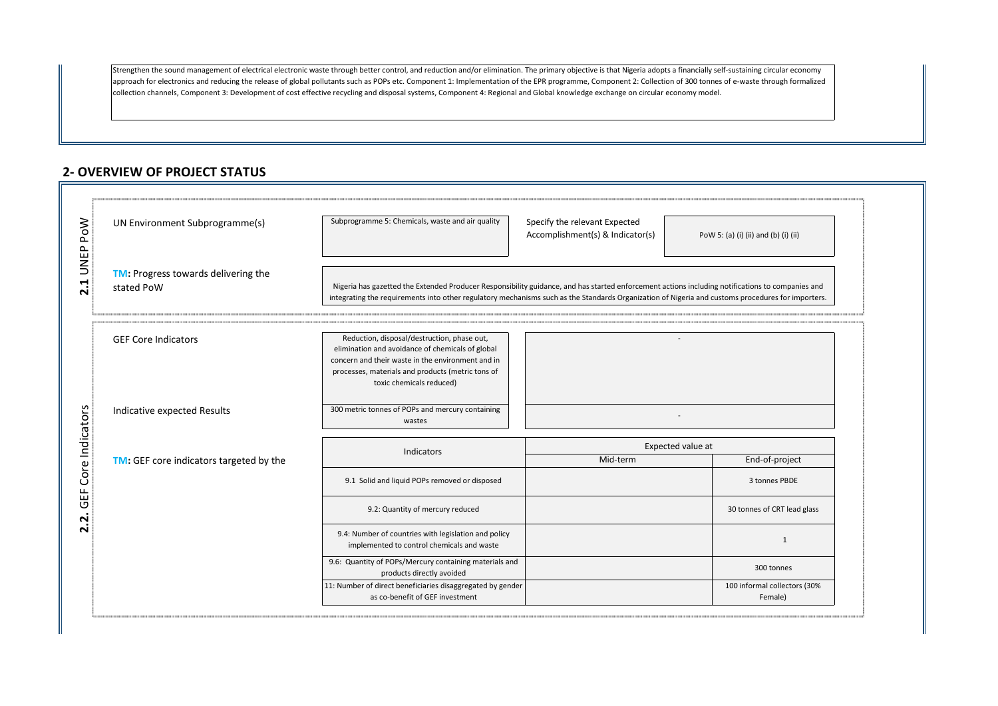Strengthen the sound management of electrical electronic waste through better control, and reduction and/or elimination. The primary objective is that Nigeria adopts a financially self-sustaining circular economy approach for electronics and reducing the release of global pollutants such as POPs etc. Component 1: Implementation of the EPR programme, Component 2: Collection of 300 tonnes of e-waste through formalized collection channels, Component 3: Development of cost effective recycling and disposal systems, Component 4: Regional and Global knowledge exchange on circular economy model.

## **2- OVERVIEW OF PROJECT STATUS**

| UN Environment Subprogramme(s)                           | Subprogramme 5: Chemicals, waste and air quality                                                                                                                                                                                                                                                      | Specify the relevant Expected<br>Accomplishment(s) & Indicator(s) | PoW 5: (a) (i) (ii) and (b) (i) (ii)    |
|----------------------------------------------------------|-------------------------------------------------------------------------------------------------------------------------------------------------------------------------------------------------------------------------------------------------------------------------------------------------------|-------------------------------------------------------------------|-----------------------------------------|
| <b>TM:</b> Progress towards delivering the<br>stated PoW | Nigeria has gazetted the Extended Producer Responsibility guidance, and has started enforcement actions including notifications to companies and<br>integrating the requirements into other regulatory mechanisms such as the Standards Organization of Nigeria and customs procedures for importers. |                                                                   |                                         |
| <b>GEF Core Indicators</b>                               | Reduction, disposal/destruction, phase out,<br>elimination and avoidance of chemicals of global<br>concern and their waste in the environment and in<br>processes, materials and products (metric tons of<br>toxic chemicals reduced)                                                                 |                                                                   |                                         |
| Indicative expected Results                              | 300 metric tonnes of POPs and mercury containing<br>wastes                                                                                                                                                                                                                                            |                                                                   |                                         |
|                                                          | Indicators                                                                                                                                                                                                                                                                                            |                                                                   | Expected value at                       |
| TM: GEF core indicators targeted by the                  |                                                                                                                                                                                                                                                                                                       | Mid-term                                                          | End-of-project                          |
|                                                          | 9.1 Solid and liquid POPs removed or disposed                                                                                                                                                                                                                                                         |                                                                   | 3 tonnes PBDE                           |
|                                                          | 9.2: Quantity of mercury reduced                                                                                                                                                                                                                                                                      |                                                                   | 30 tonnes of CRT lead glass             |
|                                                          | 9.4: Number of countries with legislation and policy<br>implemented to control chemicals and waste                                                                                                                                                                                                    |                                                                   | 1                                       |
|                                                          | 9.6: Quantity of POPs/Mercury containing materials and<br>products directly avoided                                                                                                                                                                                                                   |                                                                   | 300 tonnes                              |
|                                                          | 11: Number of direct beneficiaries disaggregated by gender<br>as co-benefit of GEF investment                                                                                                                                                                                                         |                                                                   | 100 informal collectors (30%<br>Female) |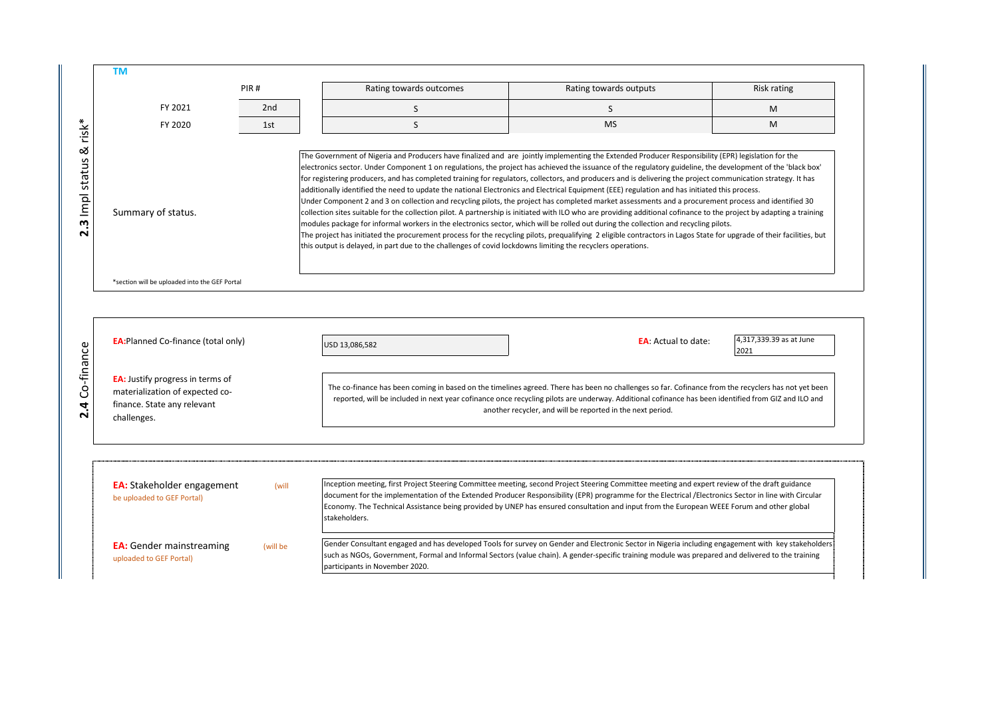|                                    |                                                                                                                          | PIR#  | Rating towards outcomes                                                                                                                                                                                                                                                                                                                                                                                                                                                                                                                                                                                                                                                                                                                                                                                                                                                                                                                                                                                                                                                                                                                                                                                                                                                                                                                                                                           | Rating towards outputs                                                                                                                                                                                                                                                                                                                                                                                                                              | Risk rating                     |
|------------------------------------|--------------------------------------------------------------------------------------------------------------------------|-------|---------------------------------------------------------------------------------------------------------------------------------------------------------------------------------------------------------------------------------------------------------------------------------------------------------------------------------------------------------------------------------------------------------------------------------------------------------------------------------------------------------------------------------------------------------------------------------------------------------------------------------------------------------------------------------------------------------------------------------------------------------------------------------------------------------------------------------------------------------------------------------------------------------------------------------------------------------------------------------------------------------------------------------------------------------------------------------------------------------------------------------------------------------------------------------------------------------------------------------------------------------------------------------------------------------------------------------------------------------------------------------------------------|-----------------------------------------------------------------------------------------------------------------------------------------------------------------------------------------------------------------------------------------------------------------------------------------------------------------------------------------------------------------------------------------------------------------------------------------------------|---------------------------------|
|                                    | FY 2021                                                                                                                  | 2nd   | S                                                                                                                                                                                                                                                                                                                                                                                                                                                                                                                                                                                                                                                                                                                                                                                                                                                                                                                                                                                                                                                                                                                                                                                                                                                                                                                                                                                                 | S                                                                                                                                                                                                                                                                                                                                                                                                                                                   | M                               |
| $risk^*$                           | FY 2020                                                                                                                  | 1st   | S                                                                                                                                                                                                                                                                                                                                                                                                                                                                                                                                                                                                                                                                                                                                                                                                                                                                                                                                                                                                                                                                                                                                                                                                                                                                                                                                                                                                 | <b>MS</b>                                                                                                                                                                                                                                                                                                                                                                                                                                           | M                               |
| ಡ<br>3 Impl status<br>$\mathbf{N}$ | Summary of status.                                                                                                       |       | The Government of Nigeria and Producers have finalized and are jointly implementing the Extended Producer Responsibility (EPR) legislation for the<br>electronics sector. Under Component 1 on regulations, the project has achieved the issuance of the regulatory guideline, the development of the 'black box'<br>for registering producers, and has completed training for regulators, collectors, and producers and is delivering the project communication strategy. It has<br>additionally identified the need to update the national Electronics and Electrical Equipment (EEE) regulation and has initiated this process.<br>Under Component 2 and 3 on collection and recycling pilots, the project has completed market assessments and a procurement process and identified 30<br>collection sites suitable for the collection pilot. A partnership is initiated with ILO who are providing additional cofinance to the project by adapting a training<br>modules package for informal workers in the electronics sector, which will be rolled out during the collection and recycling pilots.<br>The project has initiated the procurement process for the recycling pilots, prequalifying 2 eligible contractors in Lagos State for upgrade of their facilities, but<br>this output is delayed, in part due to the challenges of covid lockdowns limiting the recyclers operations. |                                                                                                                                                                                                                                                                                                                                                                                                                                                     |                                 |
|                                    | *section will be uploaded into the GEF Portal                                                                            |       |                                                                                                                                                                                                                                                                                                                                                                                                                                                                                                                                                                                                                                                                                                                                                                                                                                                                                                                                                                                                                                                                                                                                                                                                                                                                                                                                                                                                   |                                                                                                                                                                                                                                                                                                                                                                                                                                                     |                                 |
|                                    |                                                                                                                          |       |                                                                                                                                                                                                                                                                                                                                                                                                                                                                                                                                                                                                                                                                                                                                                                                                                                                                                                                                                                                                                                                                                                                                                                                                                                                                                                                                                                                                   |                                                                                                                                                                                                                                                                                                                                                                                                                                                     |                                 |
|                                    | <b>EA:</b> Planned Co-finance (total only)                                                                               |       | USD 13,086,582                                                                                                                                                                                                                                                                                                                                                                                                                                                                                                                                                                                                                                                                                                                                                                                                                                                                                                                                                                                                                                                                                                                                                                                                                                                                                                                                                                                    | <b>EA</b> : Actual to date:                                                                                                                                                                                                                                                                                                                                                                                                                         | 4,317,339.39 as at June<br>2021 |
| 4 Co-finance                       | <b>EA:</b> Justify progress in terms of<br>materialization of expected co-<br>finance. State any relevant<br>challenges. |       |                                                                                                                                                                                                                                                                                                                                                                                                                                                                                                                                                                                                                                                                                                                                                                                                                                                                                                                                                                                                                                                                                                                                                                                                                                                                                                                                                                                                   | The co-finance has been coming in based on the timelines agreed. There has been no challenges so far. Cofinance from the recyclers has not yet been<br>reported, will be included in next year cofinance once recycling pilots are underway. Additional cofinance has been identified from GIZ and ILO and<br>another recycler, and will be reported in the next period.                                                                            |                                 |
|                                    | <b>EA:</b> Stakeholder engagement<br>be uploaded to GEF Portal)                                                          | (will | stakeholders.                                                                                                                                                                                                                                                                                                                                                                                                                                                                                                                                                                                                                                                                                                                                                                                                                                                                                                                                                                                                                                                                                                                                                                                                                                                                                                                                                                                     | Inception meeting, first Project Steering Committee meeting, second Project Steering Committee meeting and expert review of the draft guidance<br>document for the implementation of the Extended Producer Responsibility (EPR) programme for the Electrical /Electronics Sector in line with Circular<br>Economy. The Technical Assistance being provided by UNEP has ensured consultation and input from the European WEEE Forum and other global |                                 |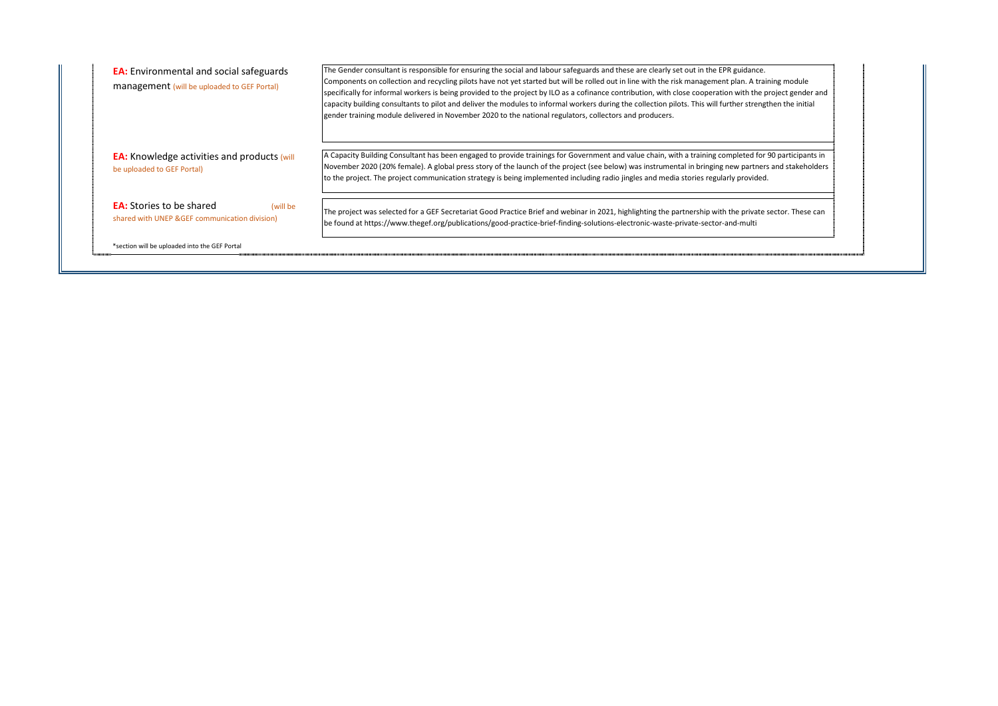| <b>EA:</b> Environmental and social safeguards<br>management (will be uploaded to GEF Portal) | The Gender consultant is responsible for ensuring the social and labour safeguards and these are clearly set out in the EPR guidance.<br>Components on collection and recycling pilots have not yet started but will be rolled out in line with the risk management plan. A training module<br>specifically for informal workers is being provided to the project by ILO as a cofinance contribution, with close cooperation with the project gender and<br>capacity building consultants to pilot and deliver the modules to informal workers during the collection pilots. This will further strengthen the initial<br>gender training module delivered in November 2020 to the national regulators, collectors and producers. |
|-----------------------------------------------------------------------------------------------|----------------------------------------------------------------------------------------------------------------------------------------------------------------------------------------------------------------------------------------------------------------------------------------------------------------------------------------------------------------------------------------------------------------------------------------------------------------------------------------------------------------------------------------------------------------------------------------------------------------------------------------------------------------------------------------------------------------------------------|
| <b>EA:</b> Knowledge activities and products (will<br>be uploaded to GEF Portal)              | A Capacity Building Consultant has been engaged to provide trainings for Government and value chain, with a training completed for 90 participants in<br>November 2020 (20% female). A global press story of the launch of the project (see below) was instrumental in bringing new partners and stakeholders<br>to the project. The project communication strategy is being implemented including radio jingles and media stories regularly provided.                                                                                                                                                                                                                                                                           |
| <b>EA:</b> Stories to be shared<br>(will be<br>shared with UNEP & GEF communication division) | The project was selected for a GEF Secretariat Good Practice Brief and webinar in 2021, highlighting the partnership with the private sector. These can<br>be found at https://www.thegef.org/publications/good-practice-brief-finding-solutions-electronic-waste-private-sector-and-multi                                                                                                                                                                                                                                                                                                                                                                                                                                       |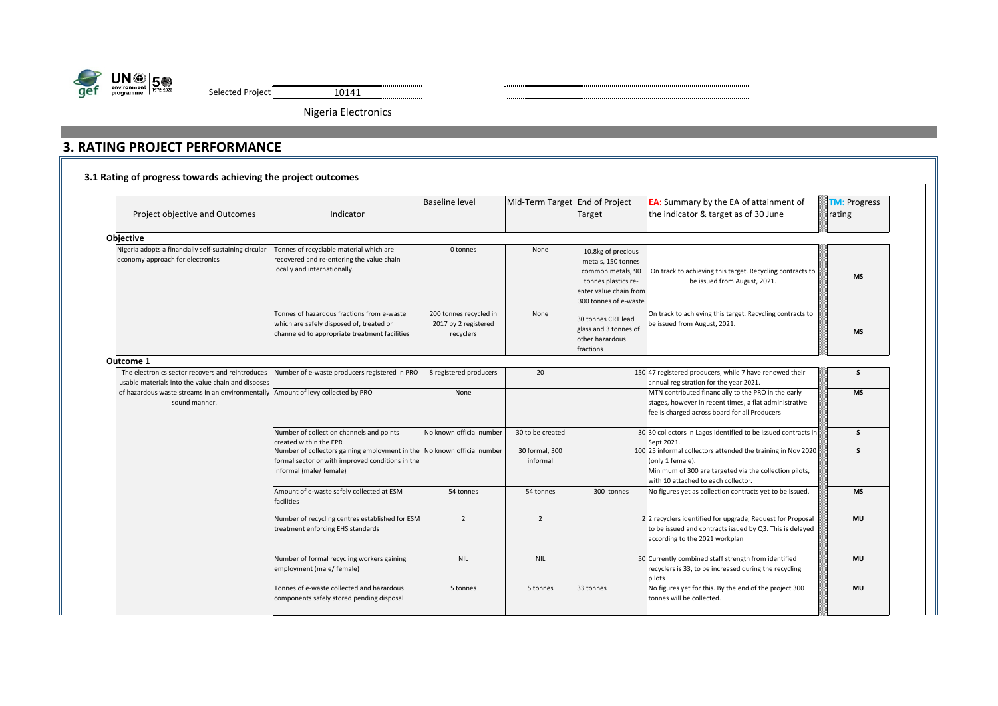



Nigeria Electronics

# **3. RATING PROJECT PERFORMANCE**

|  |  | 3.1 Rating of progress towards achieving the project outcomes |  |  |
|--|--|---------------------------------------------------------------|--|--|
|--|--|---------------------------------------------------------------|--|--|

|                                                                                                        | Indicator                                                                                                                                              | <b>Baseline level</b>                                       | Mid-Term Target End of Project |                                                                                                                                         | <b>EA:</b> Summary by the EA of attainment of                                                                                                                                     | <b>TM: Progress</b> |
|--------------------------------------------------------------------------------------------------------|--------------------------------------------------------------------------------------------------------------------------------------------------------|-------------------------------------------------------------|--------------------------------|-----------------------------------------------------------------------------------------------------------------------------------------|-----------------------------------------------------------------------------------------------------------------------------------------------------------------------------------|---------------------|
| Project objective and Outcomes                                                                         |                                                                                                                                                        |                                                             |                                | Target                                                                                                                                  | the indicator & target as of 30 June                                                                                                                                              | rating              |
| <b>Objective</b>                                                                                       |                                                                                                                                                        |                                                             |                                |                                                                                                                                         |                                                                                                                                                                                   |                     |
| Nigeria adopts a financially self-sustaining circular<br>economy approach for electronics              | Tonnes of recyclable material which are<br>recovered and re-entering the value chain<br>locally and internationally.                                   | 0 tonnes                                                    | None                           | 10.8kg of precious<br>metals, 150 tonnes<br>common metals, 90<br>tonnes plastics re-<br>enter value chain from<br>300 tonnes of e-waste | On track to achieving this target. Recycling contracts to<br>be issued from August, 2021.                                                                                         | <b>MS</b>           |
|                                                                                                        | Tonnes of hazardous fractions from e-waste<br>which are safely disposed of, treated or<br>channeled to appropriate treatment facilities                | 200 tonnes recycled in<br>2017 by 2 registered<br>recyclers | None                           | 30 tonnes CRT lead<br>glass and 3 tonnes of<br>other hazardous<br>fractions                                                             | On track to achieving this target. Recycling contracts to<br>be issued from August, 2021.                                                                                         | <b>MS</b>           |
| Outcome 1                                                                                              |                                                                                                                                                        |                                                             |                                |                                                                                                                                         |                                                                                                                                                                                   |                     |
| The electronics sector recovers and reintroduces<br>usable materials into the value chain and disposes | Number of e-waste producers registered in PRO                                                                                                          | 8 registered producers                                      | 20                             |                                                                                                                                         | 150 47 registered producers, while 7 have renewed their<br>annual registration for the year 2021.                                                                                 | S                   |
| of hazardous waste streams in an environmentally Amount of levy collected by PRO<br>sound manner.      |                                                                                                                                                        | None                                                        |                                |                                                                                                                                         | MTN contributed financially to the PRO in the early<br>stages, however in recent times, a flat administrative<br>fee is charged across board for all Producers                    | <b>MS</b>           |
|                                                                                                        | Number of collection channels and points<br>created within the EPR                                                                                     | No known official number                                    | 30 to be created               |                                                                                                                                         | 30 30 collectors in Lagos identified to be issued contracts in<br>Sept 2021.                                                                                                      | s                   |
|                                                                                                        | Number of collectors gaining employment in the No known official number<br>formal sector or with improved conditions in the<br>informal (male/ female) |                                                             | 30 formal, 300<br>informal     |                                                                                                                                         | 100 25 informal collectors attended the training in Nov 2020<br>(only 1 female).<br>Minimum of 300 are targeted via the collection pilots,<br>with 10 attached to each collector. | s                   |
|                                                                                                        | Amount of e-waste safely collected at ESM<br>facilities                                                                                                | 54 tonnes                                                   | 54 tonnes                      | 300 tonnes                                                                                                                              | No figures yet as collection contracts yet to be issued.                                                                                                                          | <b>MS</b>           |
|                                                                                                        | Number of recycling centres established for ESM<br>treatment enforcing EHS standards                                                                   | $\overline{2}$                                              | $\overline{2}$                 |                                                                                                                                         | 2 2 recyclers identified for upgrade, Request for Proposal<br>to be issued and contracts issued by Q3. This is delayed<br>according to the 2021 workplan                          | <b>MU</b>           |
|                                                                                                        | Number of formal recycling workers gaining<br>employment (male/ female)                                                                                | <b>NIL</b>                                                  | <b>NIL</b>                     |                                                                                                                                         | 50 Currently combined staff strength from identified<br>recyclers is 33, to be increased during the recycling<br>pilots                                                           | <b>MU</b>           |
|                                                                                                        | Tonnes of e-waste collected and hazardous<br>components safely stored pending disposal                                                                 | 5 tonnes                                                    | 5 tonnes                       | 33 tonnes                                                                                                                               | No figures yet for this. By the end of the project 300<br>tonnes will be collected.                                                                                               | <b>MU</b>           |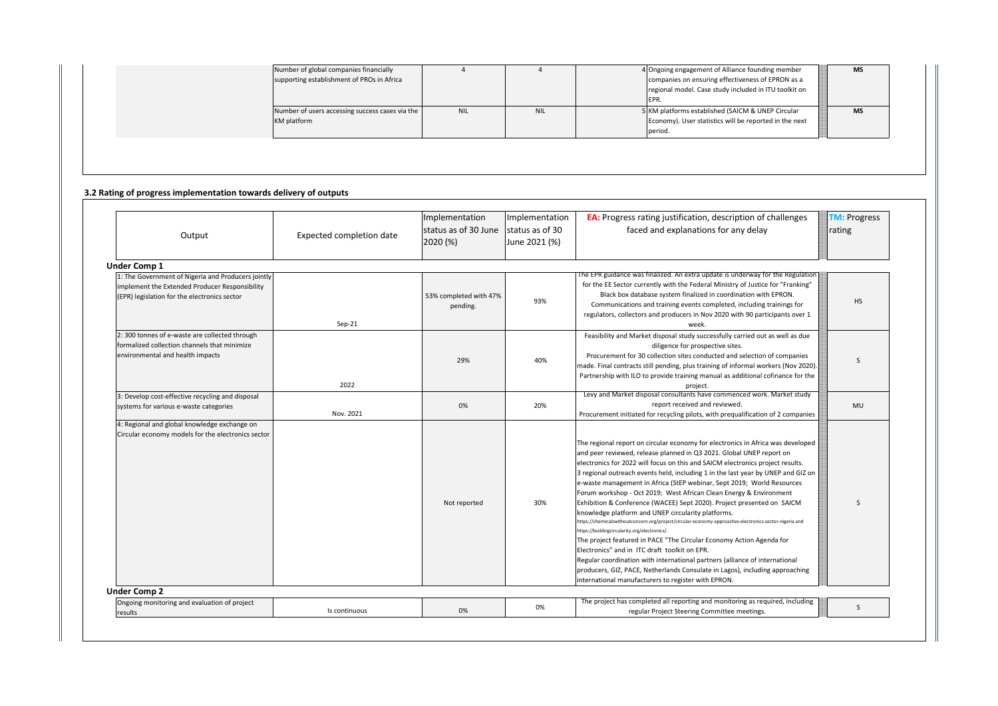| Number of global companies financially<br>supporting establishment of PROs in Africa |            |            | 4 Ongoing engagement of Alliance founding member<br>companies on ensuring effectiveness of EPRON as a<br>regional model. Case study included in ITU toolkit on<br>EPR. | <b>NIS</b> |
|--------------------------------------------------------------------------------------|------------|------------|------------------------------------------------------------------------------------------------------------------------------------------------------------------------|------------|
| Number of users accessing success cases via the<br>KM platform                       | <b>NIL</b> | <b>NIL</b> | 5 KM platforms established (SAICM & UNEP Circular<br>Economy). User statistics will be reported in the next<br>period.                                                 | <b>MS</b>  |

#### **3.2 Rating of progress implementation towards delivery of outputs**

| Output                                                                                                                                               | Expected completion date | Implementation<br>status as of 30 June<br>2020 (%) | Implementation<br>status as of 30<br>June 2021 (%) | <b>EA:</b> Progress rating justification, description of challenges<br>faced and explanations for any delay                                                                                                                                                                                                                                                                                                                                                                                                                                                                                                                                                                                                                                                                                                                                                                                                                                                                                                                                                                                                             | <b>TM: Progress</b><br>rating |
|------------------------------------------------------------------------------------------------------------------------------------------------------|--------------------------|----------------------------------------------------|----------------------------------------------------|-------------------------------------------------------------------------------------------------------------------------------------------------------------------------------------------------------------------------------------------------------------------------------------------------------------------------------------------------------------------------------------------------------------------------------------------------------------------------------------------------------------------------------------------------------------------------------------------------------------------------------------------------------------------------------------------------------------------------------------------------------------------------------------------------------------------------------------------------------------------------------------------------------------------------------------------------------------------------------------------------------------------------------------------------------------------------------------------------------------------------|-------------------------------|
| Under Comp 1                                                                                                                                         |                          |                                                    |                                                    |                                                                                                                                                                                                                                                                                                                                                                                                                                                                                                                                                                                                                                                                                                                                                                                                                                                                                                                                                                                                                                                                                                                         |                               |
| 1: The Government of Nigeria and Producers jointly<br>implement the Extended Producer Responsibility<br>(EPR) legislation for the electronics sector | $Sep-21$                 | 53% completed with 47%<br>pending.                 | 93%                                                | The EPR guidance was finalized. An extra update is underway for the Regulation<br>for the EE Sector currently with the Federal Ministry of Justice for "Franking"<br>Black box database system finalized in coordination with EPRON.<br>Communications and training events completed, including trainings for<br>regulators, collectors and producers in Nov 2020 with 90 participants over 1<br>week.                                                                                                                                                                                                                                                                                                                                                                                                                                                                                                                                                                                                                                                                                                                  | <b>HS</b>                     |
| 2:300 tonnes of e-waste are collected through<br>formalized collection channels that minimize<br>environmental and health impacts                    | 2022                     | 29%                                                | 40%                                                | Feasibility and Market disposal study successfully carried out as well as due<br>diligence for prospective sites.<br>Procurement for 30 collection sites conducted and selection of companies<br>made. Final contracts still pending, plus training of informal workers (Nov 2020).<br>Partnership with ILO to provide training manual as additional cofinance for the<br>project.                                                                                                                                                                                                                                                                                                                                                                                                                                                                                                                                                                                                                                                                                                                                      | $\mathsf{S}$                  |
| 3: Develop cost-effective recycling and disposal<br>systems for various e-waste categories                                                           | Nov. 2021                | 0%                                                 | 20%                                                | Levy and Market disposal consultants have commenced work. Market study<br>report received and reviewed.<br>Procurement initiated for recycling pilots, with prequalification of 2 companies                                                                                                                                                                                                                                                                                                                                                                                                                                                                                                                                                                                                                                                                                                                                                                                                                                                                                                                             | <b>MU</b>                     |
| 4: Regional and global knowledge exchange on<br>Circular economy models for the electronics sector                                                   |                          | Not reported                                       | 30%                                                | The regional report on circular economy for electronics in Africa was developed<br>and peer reviewed, release planned in Q3 2021. Global UNEP report on<br>electronics for 2022 will focus on this and SAICM electronics project results.<br>3 regional outreach events held, including 1 in the last year by UNEP and GIZ on<br>e-waste management in Africa (StEP webinar, Sept 2019; World Resources<br>Forum workshop - Oct 2019; West African Clean Energy & Environment<br>Exhibition & Conference (WACEE) Sept 2020). Project presented on SAICM<br>knowledge platform and UNEP circularity platforms.<br>https://chemicalswithoutconcern.org/project/circular-economy-approaches-electronics-sector-nigeria and<br>https://buildingcircularity.org/electronics/.<br>The project featured in PACE "The Circular Economy Action Agenda for<br>Electronics" and in ITC draft toolkit on EPR.<br>Regular coordination with international partners (alliance of international<br>producers, GIZ, PACE, Netherlands Consulate in Lagos), including approaching<br>international manufacturers to register with EPRON. | $\mathsf{S}$                  |
| <b>Under Comp 2</b>                                                                                                                                  |                          |                                                    |                                                    |                                                                                                                                                                                                                                                                                                                                                                                                                                                                                                                                                                                                                                                                                                                                                                                                                                                                                                                                                                                                                                                                                                                         |                               |
| Ongoing monitoring and evaluation of project<br>results                                                                                              | Is continuous            | 0%                                                 | 0%                                                 | The project has completed all reporting and monitoring as required, including<br>regular Project Steering Committee meetings.                                                                                                                                                                                                                                                                                                                                                                                                                                                                                                                                                                                                                                                                                                                                                                                                                                                                                                                                                                                           | S                             |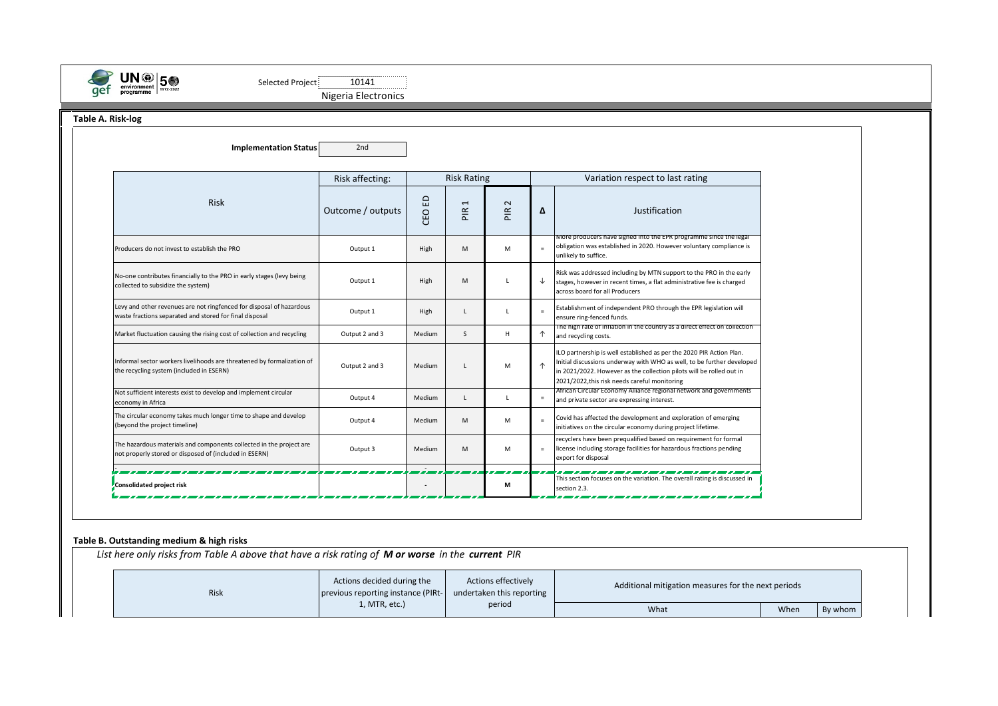

Selected Project 10141 [1014] Nigeria Electronics

**Table A. Risk-log**

| <b>Implementation Status</b>                                                                                                    | 2 <sub>nd</sub>                       |          |                                           |                                |            |                                                                                                                                                                                                                                                                         |  |  |
|---------------------------------------------------------------------------------------------------------------------------------|---------------------------------------|----------|-------------------------------------------|--------------------------------|------------|-------------------------------------------------------------------------------------------------------------------------------------------------------------------------------------------------------------------------------------------------------------------------|--|--|
|                                                                                                                                 | <b>Risk Rating</b><br>Risk affecting: |          |                                           |                                |            | Variation respect to last rating                                                                                                                                                                                                                                        |  |  |
| <b>Risk</b>                                                                                                                     | Outcome / outputs                     | 읍<br>CEO | $\overline{\phantom{0}}$<br>$\frac{R}{R}$ | $\sim$<br>$rac{\alpha}{\beta}$ | Δ          | Justification                                                                                                                                                                                                                                                           |  |  |
| Producers do not invest to establish the PRO                                                                                    | Output 1                              | High     | M                                         | M                              | $=$        | More producers have signed into the EPR programme since the legal<br>obligation was established in 2020. However voluntary compliance is<br>unlikely to suffice.                                                                                                        |  |  |
| No-one contributes financially to the PRO in early stages (levy being<br>collected to subsidize the system)                     | Output 1                              | High     | M                                         |                                | ↓          | Risk was addressed including by MTN support to the PRO in the early<br>stages, however in recent times, a flat administrative fee is charged<br>across board for all Producers                                                                                          |  |  |
| Levy and other revenues are not ringfenced for disposal of hazardous<br>waste fractions separated and stored for final disposal | Output 1                              | High     | L                                         | $\mathbf{L}$                   | $=$        | Establishment of independent PRO through the EPR legislation will<br>ensure ring-fenced funds.                                                                                                                                                                          |  |  |
| Market fluctuation causing the rising cost of collection and recycling                                                          | Output 2 and 3                        | Medium   | S                                         | H                              | ↑          | The high rate of inflation in the country as a direct effect on collection<br>and recycling costs.                                                                                                                                                                      |  |  |
| Informal sector workers livelihoods are threatened by formalization of<br>the recycling system (included in ESERN)              | Output 2 and 3                        | Medium   | L                                         | M                              | $\uparrow$ | ILO partnership is well established as per the 2020 PIR Action Plan.<br>Initial discussions underway with WHO as well, to be further developed<br>in 2021/2022. However as the collection pilots will be rolled out in<br>2021/2022, this risk needs careful monitoring |  |  |
| Not sufficient interests exist to develop and implement circular<br>economy in Africa                                           | Output 4                              | Medium   | L                                         | $\mathbf{I}$                   | $\equiv$   | African Circular Economy Alliance regional network and governments<br>and private sector are expressing interest.                                                                                                                                                       |  |  |
| The circular economy takes much longer time to shape and develop<br>(beyond the project timeline)                               | Output 4                              | Medium   | M                                         | M                              | $\equiv$   | Covid has affected the development and exploration of emerging<br>initiatives on the circular economy during project lifetime.                                                                                                                                          |  |  |
| The hazardous materials and components collected in the project are<br>not properly stored or disposed of (included in ESERN)   | Output 3                              | Medium   | M                                         | M                              | $=$        | recyclers have been prequalified based on requirement for formal<br>license including storage facilities for hazardous fractions pending<br>export for disposal                                                                                                         |  |  |
| Consolidated project risk                                                                                                       |                                       |          |                                           | М                              |            | This section focuses on the variation. The overall rating is discussed in<br>section 2.3.                                                                                                                                                                               |  |  |

### **Table B. Outstanding medium & high risks**

*List here only risks from Table A above that have a risk rating of M or worse in the current PIR*

| <b>Risk</b> | Actions decided during the<br>previous reporting instance (PIRt-<br>undertaken this reporting |        | Additional mitigation measures for the next periods |      |         |  |  |
|-------------|-----------------------------------------------------------------------------------------------|--------|-----------------------------------------------------|------|---------|--|--|
|             | l, MTR, etc.)                                                                                 | period | What                                                | When | By whom |  |  |